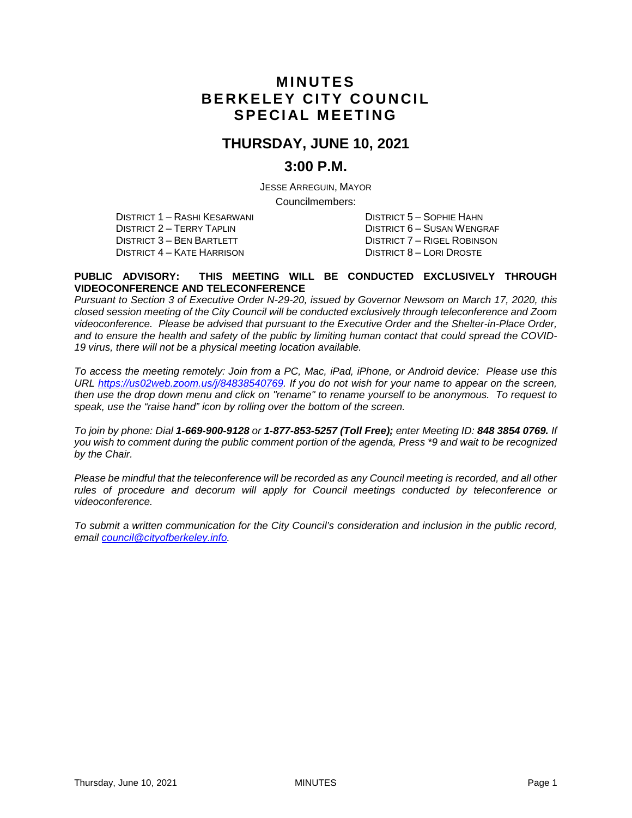# **MINUTES BERKELEY CITY COUNCIL SPECIAL MEETING**

# **THURSDAY, JUNE 10, 2021**

## **3:00 P.M.**

JESSE ARREGUIN, MAYOR Councilmembers:

DISTRICT 1 – RASHI KESARWANI DISTRICT 5 – SOPHIE HAHN DISTRICT 2 – TERRY TAPLIN DISTRICT 6 – SUSAN WENGRAF DISTRICT 4 – KATE HARRISON DISTRICT 8 – LORI DROSTE

DISTRICT 7 – RIGEL ROBINSON

#### **PUBLIC ADVISORY: THIS MEETING WILL BE CONDUCTED EXCLUSIVELY THROUGH VIDEOCONFERENCE AND TELECONFERENCE**

*Pursuant to Section 3 of Executive Order N-29-20, issued by Governor Newsom on March 17, 2020, this closed session meeting of the City Council will be conducted exclusively through teleconference and Zoom videoconference. Please be advised that pursuant to the Executive Order and the Shelter-in-Place Order, and to ensure the health and safety of the public by limiting human contact that could spread the COVID-19 virus, there will not be a physical meeting location available.* 

*To access the meeting remotely: Join from a PC, Mac, iPad, iPhone, or Android device: Please use this URL [https://us02web.zoom.us/j/84838540769.](https://us02web.zoom.us/j/84838540769) If you do not wish for your name to appear on the screen, then use the drop down menu and click on "rename" to rename yourself to be anonymous. To request to speak, use the "raise hand" icon by rolling over the bottom of the screen.* 

*To join by phone: Dial 1-669-900-9128 or 1-877-853-5257 (Toll Free); enter Meeting ID: 848 3854 0769. If you wish to comment during the public comment portion of the agenda, Press \*9 and wait to be recognized by the Chair.* 

*Please be mindful that the teleconference will be recorded as any Council meeting is recorded, and all other rules of procedure and decorum will apply for Council meetings conducted by teleconference or videoconference.*

*To submit a written communication for the City Council's consideration and inclusion in the public record, email [council@cityofberkeley.info.](mailto:council@cityofberkeley.info)*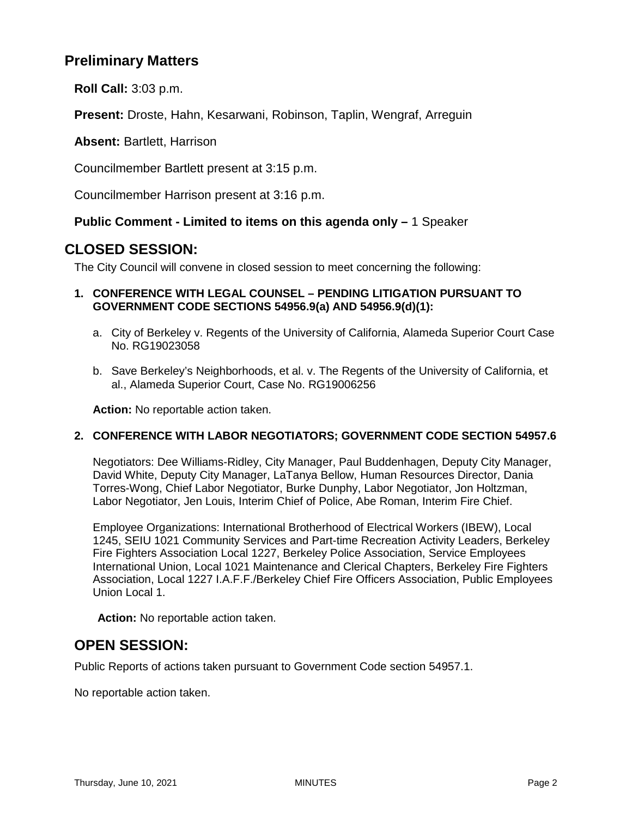# **Preliminary Matters**

**Roll Call:** 3:03 p.m.

**Present:** Droste, Hahn, Kesarwani, Robinson, Taplin, Wengraf, Arreguin

**Absent:** Bartlett, Harrison

Councilmember Bartlett present at 3:15 p.m.

Councilmember Harrison present at 3:16 p.m.

#### **Public Comment - Limited to items on this agenda only –** 1 Speaker

## **CLOSED SESSION:**

The City Council will convene in closed session to meet concerning the following:

#### **1. CONFERENCE WITH LEGAL COUNSEL – PENDING LITIGATION PURSUANT TO GOVERNMENT CODE SECTIONS 54956.9(a) AND 54956.9(d)(1):**

- a. City of Berkeley v. Regents of the University of California, Alameda Superior Court Case No. RG19023058
- b. Save Berkeley's Neighborhoods, et al. v. The Regents of the University of California, et al., Alameda Superior Court, Case No. RG19006256

**Action:** No reportable action taken.

#### **2. CONFERENCE WITH LABOR NEGOTIATORS; GOVERNMENT CODE SECTION 54957.6**

Negotiators: Dee Williams-Ridley, City Manager, Paul Buddenhagen, Deputy City Manager, David White, Deputy City Manager, LaTanya Bellow, Human Resources Director, Dania Torres-Wong, Chief Labor Negotiator, Burke Dunphy, Labor Negotiator, Jon Holtzman, Labor Negotiator, Jen Louis, Interim Chief of Police, Abe Roman, Interim Fire Chief.

Employee Organizations: International Brotherhood of Electrical Workers (IBEW), Local 1245, SEIU 1021 Community Services and Part-time Recreation Activity Leaders, Berkeley Fire Fighters Association Local 1227, Berkeley Police Association, Service Employees International Union, Local 1021 Maintenance and Clerical Chapters, Berkeley Fire Fighters Association, Local 1227 I.A.F.F./Berkeley Chief Fire Officers Association, Public Employees Union Local 1.

**Action:** No reportable action taken.

### **OPEN SESSION:**

Public Reports of actions taken pursuant to Government Code section 54957.1.

No reportable action taken.